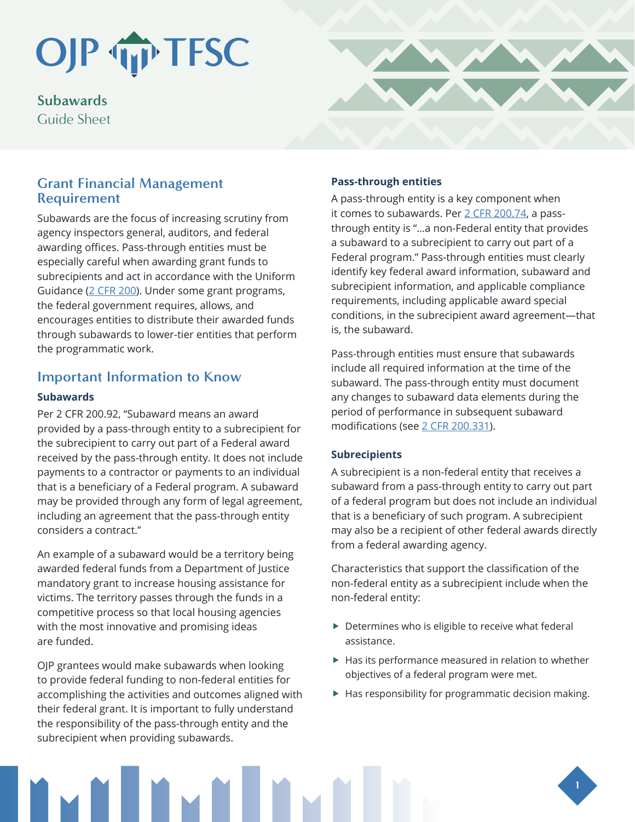## OJP TIP TFSC

**Subawards** Guide Sheet

## **Grant Financial Management Requirement**

Subawards are the focus of increasing scrutiny from agency inspectors general, auditors, and federal awarding offices. Pass-through entities must be especially careful when awarding grant funds to subrecipients and act in accordance with the Uniform Guidance ([2 CFR 200](https://www.ecfr.gov/cgi-bin/text-idx?SID=83c04cb06810c6aeae76fa6cc769bbdb&mc=true&node=pt2.1.200&rgn=div5)). Under some grant programs, the federal government requires, allows, and encourages entities to distribute their awarded funds through subawards to lower-tier entities that perform the programmatic work.

## **Important Information to Know**

#### **Subawards**

Per 2 CFR 200.92, "Subaward means an award provided by a pass-through entity to a subrecipient for the subrecipient to carry out part of a Federal award received by the pass-through entity. It does not include payments to a contractor or payments to an individual that is a beneficiary of a Federal program. A subaward may be provided through any form of legal agreement, including an agreement that the pass-through entity considers a contract."

An example of a subaward would be a territory being awarded federal funds from a Department of Justice mandatory grant to increase housing assistance for victims. The territory passes through the funds in a competitive process so that local housing agencies with the most innovative and promising ideas are funded.

OJP grantees would make subawards when looking to provide federal funding to non-federal entities for accomplishing the activities and outcomes aligned with their federal grant. It is important to fully understand the responsibility of the pass-through entity and the subrecipient when providing subawards.



#### **Pass-through entities**

A pass-through entity is a key component when it comes to subawards. Per [2 CFR 200.74,](https://www.law.cornell.edu/cfr/text/2/200.74) a passthrough entity is "…a non-Federal entity that provides a subaward to a subrecipient to carry out part of a Federal program." Pass-through entities must clearly identify key federal award information, subaward and subrecipient information, and applicable compliance requirements, including applicable award special conditions, in the subrecipient award agreement—that is, the subaward.

Pass-through entities must ensure that subawards include all required information at the time of the subaward. The pass-through entity must document any changes to subaward data elements during the period of performance in subsequent subaward modifications (see [2 CFR 200.331](https://ecfr.io/cgi-bin/text-idx?SID=f0249c88724aac3d36373ad1a92d8ac6&mc=true&node=se2.1.200_1331&rgn=div8)).

#### **Subrecipients**

A subrecipient is a non-federal entity that receives a subaward from a pass-through entity to carry out part of a federal program but does not include an individual that is a beneficiary of such program. A subrecipient may also be a recipient of other federal awards directly from a federal awarding agency.

Characteristics that support the classification of the non-federal entity as a subrecipient include when the non-federal entity:

- $\triangleright$  Determines who is eligible to receive what federal assistance.
- $\blacktriangleright$  Has its performance measured in relation to whether objectives of a federal program were met.
- $\blacktriangleright$  Has responsibility for programmatic decision making.